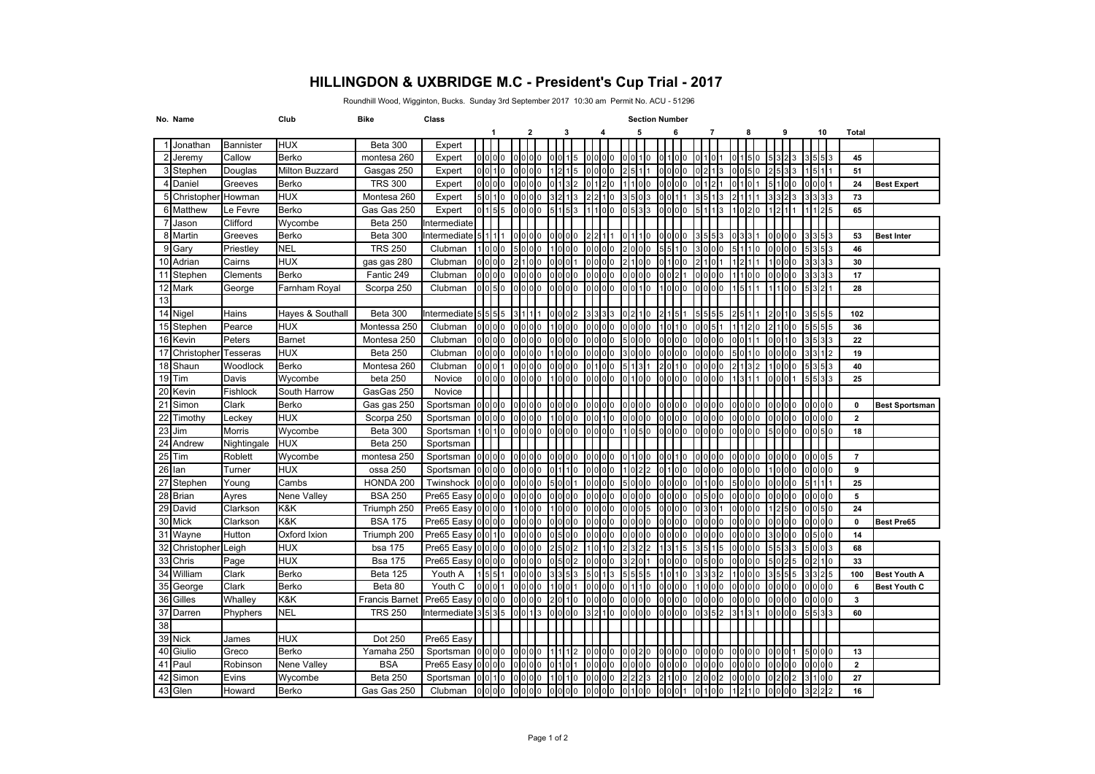## **HILLINGDON & UXBRIDGE M.C - President's Cup Trial - 2017**

Roundhill Wood, Wigginton, Bucks. Sunday 3rd September 2017 10:30 am Permit No. ACU - 51296

|                 | No. Name       |                 | Club                  | <b>Bike</b>           | Class        | <b>Section Number</b> |                                   |                     |                               |  |       |                 |                |           |       |                               |                 |             |                |          |                 |                               |     |                |    |                   |                |                       |
|-----------------|----------------|-----------------|-----------------------|-----------------------|--------------|-----------------------|-----------------------------------|---------------------|-------------------------------|--|-------|-----------------|----------------|-----------|-------|-------------------------------|-----------------|-------------|----------------|----------|-----------------|-------------------------------|-----|----------------|----|-------------------|----------------|-----------------------|
|                 |                |                 |                       |                       |              |                       | 1                                 |                     | 2                             |  |       | 3               |                | 4         |       |                               | 5               |             | 6              |          | 7               | 8                             |     | 9              |    | 10                | <b>Total</b>   |                       |
|                 | Jonathan       | Bannister       | <b>HUX</b>            | Beta 300              | Expert       |                       |                                   |                     |                               |  |       |                 |                |           |       |                               |                 |             |                |          |                 |                               |     |                |    |                   |                |                       |
|                 | Jeremy         | Callow          | <b>Berko</b>          | montesa 260           | Expert       |                       | $0$ <sub>0</sub> $0$ <sub>0</sub> |                     | $00$ $00$                     |  | 0 O 1 |                 |                | 0 0 0 0   |       |                               | ) O 1 1 0       |             |                | $\Omega$ |                 | 01150                         |     |                |    | 553               | 45             |                       |
| 31              | Stephen        | Douglas         | <b>Milton Buzzard</b> | Gasgas 250            | Expert       |                       | 0010                              |                     | 0000                          |  |       |                 |                |           |       |                               |                 |             |                | 0        |                 | 0050                          |     |                |    |                   | 51             |                       |
|                 | 4 Daniel       | Greeves         | Berko                 | <b>TRS 300</b>        | Expert       |                       | 0000                              |                     | 0000                          |  |       |                 |                |           |       |                               | 100             | $\mathbf 0$ | 0 <sub>0</sub> |          |                 | 011011                        |     | 5100           |    | 001               | 24             | <b>Best Expert</b>    |
|                 | 5 Christopher  | Howman          | <b>HUX</b>            | Montesa 260           | Expert       |                       | 5010                              |                     | 1000                          |  |       |                 |                |           |       |                               | $\mathbf{B}$    |             |                |          |                 |                               |     |                |    | 333               | 73             |                       |
|                 | 6 Matthew      | Le Fevre        | <b>Berko</b>          | Gas Gas 250           | Expert       |                       | 0 1 55                            |                     | 0000                          |  |       |                 |                |           |       |                               | 533             |             | 0 <sub>0</sub> |          |                 |                               |     |                |    | 1125              | 65             |                       |
|                 | Jason          | Clifford        | Wycombe               | Beta 250              | Intermediate |                       |                                   |                     |                               |  |       |                 |                |           |       |                               |                 |             |                |          |                 |                               |     |                |    |                   |                |                       |
|                 | 8 Martin       | Greeves         | Berko                 | Beta 300              | Intermediate |                       | 511111                            |                     | 0000                          |  |       | 0000            |                |           |       |                               | 1110            |             | 0 <sub>0</sub> |          |                 |                               |     | 101010         |    | 353               | 53             | <b>Best Inter</b>     |
| q               | Gary           | Priestley       | <b>NEL</b>            | <b>TRS 250</b>        | Clubman      |                       | 1000                              |                     | 5000                          |  |       |                 |                |           |       |                               | I0              |             |                |          |                 |                               |     | 101010         |    | $3\overline{5}$ 3 | 46             |                       |
|                 | 10 Adrian      | Cairns          | <b>HUX</b>            | gas gas 280           | Clubman      |                       | 0000                              |                     | 100                           |  | າເດເດ |                 |                |           |       | 110                           | I0              |             |                |          |                 |                               |     |                |    |                   | 30             |                       |
| 11              | Stephen        | Clements        | <b>Berko</b>          | Fantic 249            | Clubman      |                       | 0 0 0 0                           |                     | 0000                          |  |       | 0 0 0 0         |                | 0 0 10 10 |       |                               | 0000            |             |                |          | 0000            | 111010                        |     | 101010         |    | 333               | 17             |                       |
|                 | 12 Mark        | George          | Farnham Royal         | Scorpa 250            | Clubman      |                       | 0 0 5 0                           |                     | 0 <sub>0</sub>                |  |       | 0 <sup>10</sup> |                | 0000      |       | 0 <sub>0</sub> 1 <sub>0</sub> |                 |             | 0 <sub>0</sub> |          |                 |                               |     | 1100           |    |                   | 28             |                       |
| 13              |                |                 |                       |                       |              |                       |                                   |                     |                               |  |       |                 |                |           |       |                               |                 |             |                |          |                 |                               |     |                |    |                   |                |                       |
|                 | 14 Nigel       | Hains           | Hayes & Southall      | Beta 300              | Intermediate |                       | 5 5 5 5                           |                     |                               |  |       | 0002            |                |           |       |                               | 1210            |             |                |          |                 |                               |     |                | I٥ | 5555              | 102            |                       |
|                 | 15 Stephen     | Pearce          | <b>HUX</b>            | Montessa 250          | Clubman      |                       | olololo                           |                     | 0000                          |  |       | 0 <sup>10</sup> |                | olololo   |       | $00$ $00$                     |                 |             |                | $\Omega$ |                 |                               |     | 21100          |    | 5555              | 36             |                       |
|                 | 16 Kevin       | Peters          | <b>Barnet</b>         | Montesa 250           | Clubman      |                       | $0$ $0$ $0$ $0$                   |                     | ololo                         |  |       | 0 0 0 0         |                |           |       |                               | 0 <sub>0</sub>  |             |                |          |                 |                               |     |                |    | 533               | 22             |                       |
| 17              | Christopher    | <b>Tesseras</b> | <b>HUX</b>            | <b>Beta 250</b>       | Clubman      |                       | 0 0 0 0                           |                     | 0101010                       |  |       | 101010          |                | 0000      |       |                               | 0 <sub>0</sub>  |             | 000            |          |                 |                               | 110 | 0 <sub>0</sub> |    | 3112              | 19             |                       |
| 18 <sup>1</sup> | Shaun          | Woodlock        | Berko                 | Montesa 260           | Clubman      |                       | $0$ $0$ $1$                       |                     | 0000                          |  |       | 0000            |                | 0100      |       | 513                           |                 |             | 20110          |          | 0 10 10 10      | 2 1 3 2                       |     | 1000           |    | 5353              | 40             |                       |
|                 | 19 Tim         | Davis           | Wycombe               | beta 250              | Novice       |                       | 0 0 0                             |                     | 0000                          |  |       | 1000            |                | $00$ $00$ |       | $0100$                        |                 |             | 0 <sub>0</sub> |          |                 |                               |     |                |    | 3 3               | 25             |                       |
| 20              | Kevin          | Fishlock        | South Harrow          | GasGas 250            | Novice       |                       |                                   |                     |                               |  |       |                 |                |           |       |                               |                 |             |                |          |                 |                               |     |                |    |                   |                |                       |
|                 | 21 Simon       | Clark           | Berko                 | Gas gas 250           | Sportsman    |                       | 0 <sub>0</sub>                    |                     | lolololo                      |  |       | 0 <sub>0</sub>  | olololo        |           |       |                               | 0000            |             | 0000           |          | $0$ $0$ $0$ $0$ | 0 <sub>0</sub>                |     | 0000           |    | olololo           | $\mathbf 0$    | <b>Best Sportsman</b> |
| 22              | Timothy        | Leckey          | <b>HUX</b>            | Scorpa 250            | Sportsman    |                       | olololo                           |                     | olololo                       |  |       |                 | 0 <sub>0</sub> |           |       |                               | l 0             |             |                |          |                 | 0 <sup>10</sup>               |     |                |    | 000               | $\overline{2}$ |                       |
| 23              | Jim            | Morris          | Wycombe               | Beta 300              | Sportsman    |                       | 1010                              |                     | 0 <sub>0</sub> 0 <sub>0</sub> |  |       | olololo         |                | 0000      |       |                               | 1050            | $\Omega$    | 0 <sub>0</sub> |          | $00$ $00$       | 0 0 0 0                       |     | 5lololo        |    | olol5lo           | 18             |                       |
|                 | 24 Andrew      | Nightingale     | <b>HUX</b>            | Beta 250              | Sportsman    |                       |                                   |                     |                               |  |       |                 |                |           |       |                               |                 |             |                |          |                 |                               |     |                |    |                   |                |                       |
|                 | 25 Tim         | Roblett         | Wycombe               | montesa 250           | Sportsman    |                       | olololo                           |                     | 0000                          |  |       |                 |                |           |       |                               |                 |             |                |          |                 |                               |     |                |    | 005               | $\overline{7}$ |                       |
| 26 Ian          |                | Turner          | <b>HUX</b>            | ossa 250              | Sportsman    |                       | 0000                              |                     | 0000                          |  |       | 011110          |                | 0000      |       |                               | 1101212         | <b>O</b>    | 11010          |          | 0000            | 0 <sub>0</sub> 0 <sub>0</sub> |     | 1000           |    | 0 00              | 9              |                       |
|                 | 27 Stephen     | Young           | Cambs                 | HONDA 200             | Twinshock    |                       | 0000                              |                     | 0000                          |  |       | 5101011         |                | 0 0 0 0   |       | 5000                          |                 |             | 0000           |          | 0100            | 5000                          |     | 000            |    | 51111             | 25             |                       |
|                 | 28 Brian       | Ayres           | Nene Valley           | <b>BSA 250</b>        | Pre65 Easy   |                       | olololo                           |                     | 0 0 0 0                       |  |       |                 |                | 0000      |       |                               | 10              |             |                |          |                 | ololo                         |     | 101010         |    | 000               | 5              |                       |
|                 | 29 David       | Clarkson        | K&K                   | Triumph 250           | Pre65 Easy   |                       | 0 0 0                             |                     | 1000                          |  |       | 000             |                | 0 0 0 0   |       | 0005                          |                 | 0           | 000            |          | 30              | 0000                          |     | 1250           |    | 0 0 5 0           | 24             |                       |
|                 | 30 Mick        | Clarkson        | K&K                   | <b>BSA 175</b>        | Pre65 Easy   |                       | 0 0 0 0                           |                     | $00$ $00$                     |  |       | 0000            |                | 0000      |       | 0000                          |                 |             | 0000           |          | $00$ $00$       | 0 <sub>0</sub>                |     | 000            |    | 000               | $\mathbf{0}$   | <b>Best Pre65</b>     |
|                 | 31 Wayne       | Hutton          | Oxford Ixion          | Triumph 200           | Pre65 Easy   |                       | $0$ $0$ $1$ $0$                   |                     | $000000$                      |  |       |                 |                | 0 0 0 0   |       |                               | 0 <sub>0</sub>  |             |                |          |                 | olololo                       |     | 101010         |    | 000               | 14             |                       |
|                 | 32 Christopher | Leigh           | <b>HUX</b>            | <b>bsa 175</b>        | Pre65 Easy   |                       | 0 0 0 0                           |                     | 0000                          |  |       |                 |                | -lol      | 1 I N |                               | 12              |             | 3115           |          |                 | 0 <sub>0</sub>                |     | 5 3 3          |    | 5003              | 68             |                       |
|                 | 33 Chris       | Page            | <b>HUX</b>            | <b>Bsa 175</b>        | Pre65 Easy   |                       | 0000                              |                     | 0 0 0 0                       |  |       | n <sub>2</sub>  |                | olololo   |       |                               | 2011            |             | 0 <sub>0</sub> |          | 500             | 0 <sub>0</sub> 0 <sub>0</sub> |     | 1025           |    | 1210              | 33             |                       |
|                 | 34 William     | Clark           | <b>Berko</b>          | Beta 125              | Youth A      |                       | 1551                              |                     | 0000                          |  |       |                 |                |           |       |                               | 5               |             |                |          |                 |                               |     |                |    | 3325              | 100            | <b>Best Youth A</b>   |
|                 | 35 George      | Clark           | Berko                 | Beta 80               | Youth C      |                       | 0001                              |                     | 0000                          |  |       |                 |                | 0000      |       |                               | 110             |             | 01010          |          |                 | $00$ $00$                     |     | 000            |    | 000               | 6              | <b>Best Youth C</b>   |
|                 | 36 Gilles      | Whalley         | K&K                   | <b>Francis Barnet</b> | Pre65 Easy   |                       | 0 0 0 0                           |                     | 0000                          |  |       | 2010            |                | 0000      |       | 0000                          |                 |             | 0 <sub>0</sub> |          | $00$ $00$       | 0 <sub>0</sub> 0 <sub>0</sub> |     | DIO OIO        |    | , 101010          | 3              |                       |
|                 | 37 Darren      | Phyphers        | <b>NEL</b>            | <b>TRS 250</b>        | Intermediate |                       | 3 5 3 5                           |                     | $0\,0\,13$                    |  |       | 0 0 0 0         |                |           | 1 I O | 0000                          |                 |             | 0000           |          |                 | 311311                        |     | 000            |    | 5151313           | 60             |                       |
| 38              |                |                 |                       |                       |              |                       |                                   |                     |                               |  |       |                 |                |           |       |                               |                 |             |                |          |                 |                               |     |                |    |                   |                |                       |
|                 | 39 Nick        | James           | <b>HUX</b>            | Dot 250               | Pre65 Easy   |                       |                                   |                     |                               |  |       |                 |                |           |       |                               |                 |             |                |          |                 |                               |     |                |    |                   |                |                       |
|                 | 40 Giulio      | Greco           | Berko                 | Yamaha 250            | Sportsman    |                       | 0 <sub>0</sub>                    |                     | 0 <sub>0</sub>                |  |       |                 |                |           |       |                               | 0 <sub>12</sub> |             | 000            |          |                 | 0 <sub>0</sub> 0 <sub>0</sub> |     |                |    | i 0 <b>1</b> 0 0  | 13             |                       |
| 41              | Paul           | Robinson        | Nene Valley           | <b>BSA</b>            | Pre65 Easy   |                       | 0000                              |                     | 0000                          |  |       |                 |                |           |       |                               | $\Omega$        |             |                |          |                 |                               |     | 1000           |    | 0 <sub>0</sub>    | $\overline{2}$ |                       |
| 42              | Simon          | Evins           | Wycombe               | Beta 250              | Sportsman    |                       | $0\,0\,1$ $0$                     |                     | 0000                          |  |       | 1101110         |                | 0000      |       |                               | 13              |             | 100            |          | 002             | 0 <sub>0</sub> 0 <sub>0</sub> |     | 121012         |    | 3100              | 27             |                       |
|                 | 43 Glen        | Howard          | <b>Berko</b>          | Gas Gas 250           | Clubman      |                       |                                   | o <b>ooo</b> o oooo |                               |  |       | 0 0 0 0         | 0 0 0          |           |       |                               | 0 1 0 0         |             | 00011          |          | 01100           | 1210                          |     | 0000           |    | 3222              | 16             |                       |